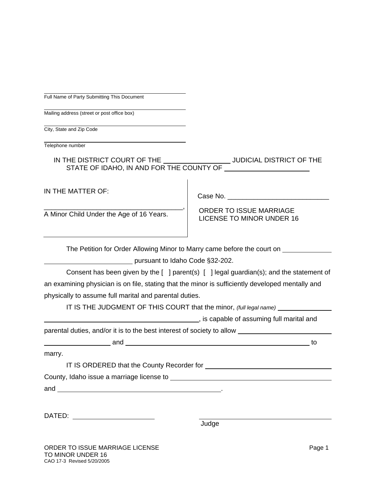|  | Full Name of Party Submitting This Document |  |  |
|--|---------------------------------------------|--|--|

Mailing address (street or post office box)

City, State and Zip Code

Telephone number

IN THE DISTRICT COURT OF THE \_\_\_\_\_\_\_\_\_\_\_\_\_\_\_\_\_\_\_JUDICIAL DISTRICT OF THE STATE OF IDAHO, IN AND FOR THE COUNTY OF

IN THE MATTER OF:

\_\_\_\_\_\_\_\_\_\_\_\_\_\_\_\_\_\_\_\_\_\_\_\_\_\_\_\_\_\_\_\_\_\_\_\_\_, A Minor Child Under the Age of 16 Years.

ORDER TO ISSUE MARRIAGE

Case No.

LICENSE TO MINOR UNDER 16

The Petition for Order Allowing Minor to Marry came before the court on

pursuant to Idaho Code §32-202.

 Consent has been given by the [ ] parent(s) [ ] legal guardian(s); and the statement of an examining physician is on file, stating that the minor is sufficiently developed mentally and physically to assume full marital and parental duties.

IT IS THE JUDGMENT OF THIS COURT that the minor, *(full legal name)*

**Fig.** 6. Its capable of assuming full marital and

parental duties, and/or it is to the best interest of society to allow

and  $\frac{1}{\sqrt{1-\frac{1}{2}}}\$  to

marry.

| IT IS ORDERED that the County Recorder for |  |
|--------------------------------------------|--|
| County, Idaho issue a marriage license to  |  |

and .

DATED:

Judge